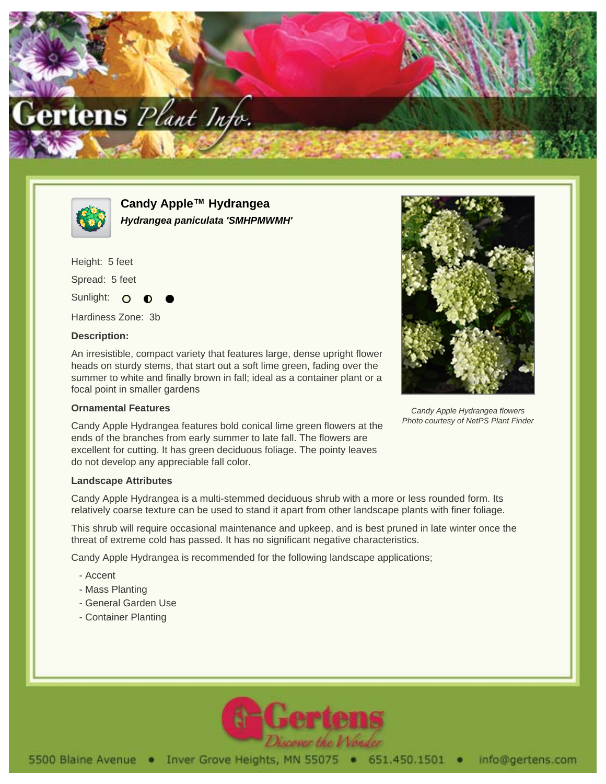



**Candy Apple™ Hydrangea Hydrangea paniculata 'SMHPMWMH'**

Height: 5 feet Spread: 5 feet

Sunlight: O

Hardiness Zone: 3b

## **Description:**

An irresistible, compact variety that features large, dense upright flower heads on sturdy stems, that start out a soft lime green, fading over the summer to white and finally brown in fall; ideal as a container plant or a focal point in smaller gardens

## **Ornamental Features**

Candy Apple Hydrangea features bold conical lime green flowers at the ends of the branches from early summer to late fall. The flowers are excellent for cutting. It has green deciduous foliage. The pointy leaves do not develop any appreciable fall color.

## **Landscape Attributes**

Candy Apple Hydrangea is a multi-stemmed deciduous shrub with a more or less rounded form. Its relatively coarse texture can be used to stand it apart from other landscape plants with finer foliage.

This shrub will require occasional maintenance and upkeep, and is best pruned in late winter once the threat of extreme cold has passed. It has no significant negative characteristics.

Candy Apple Hydrangea is recommended for the following landscape applications;

- Accent
- Mass Planting
- General Garden Use
- Container Planting



Candy Apple Hydrangea flowers Photo courtesy of NetPS Plant Finder